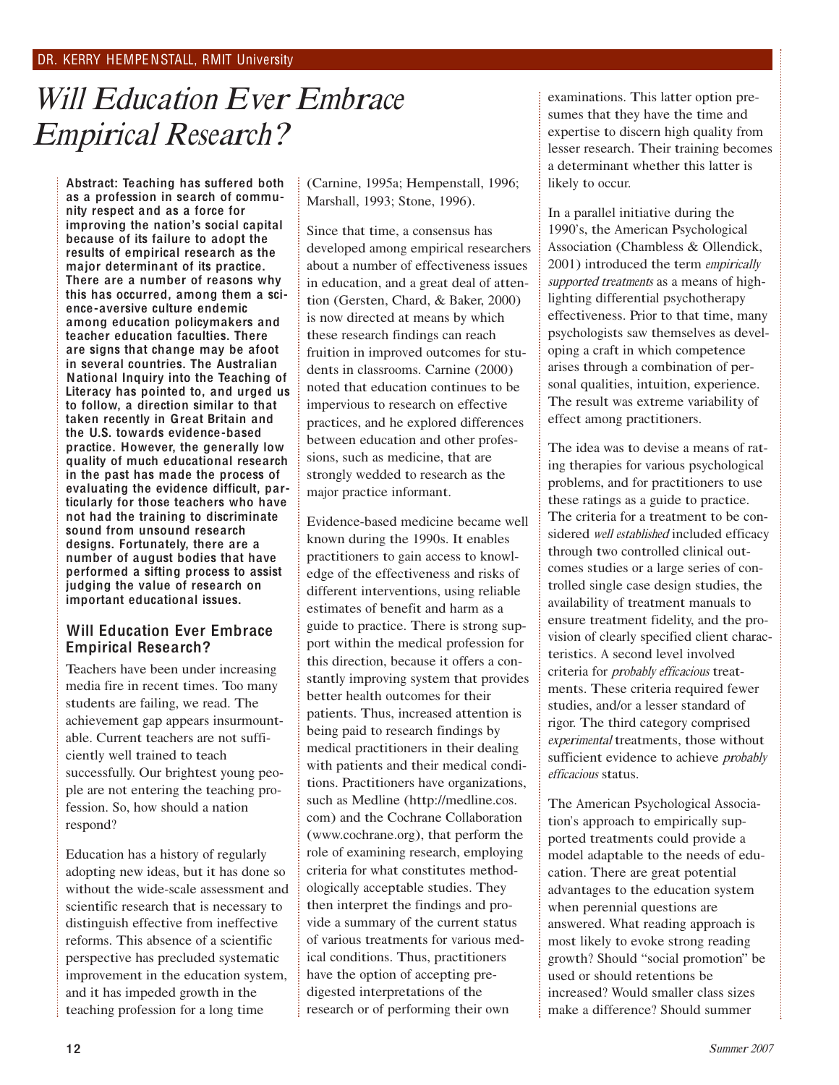## DR. KERRY HEMPENSTALL, RMIT University

# Will Educatio<sup>n</sup> Eve<sup>r</sup> Embrac<sup>e</sup> Empirical Research?

Abstract: Teaching has suffered both as a profession in search of community respect and as a force for improving the nation's social capital because of its failure to adopt the results of empirical research as the major determinant of its practice. There are a number of reasons why this has occurred, among them a science-aversive culture endemic among education policymakers and teacher education faculties. There are signs that change may be afoot in several countries. The Australian National Inquiry into the Teaching of Literacy has pointed to, and urged us to follow, a direction similar to that taken recently in Great Britain and the U.S. towards evidence-based practice. However, the generally low quality of much educational research in the past has made the process of evaluating the evidence difficult, particularly for those teachers who have not had the training to discriminate sound from unsound research designs. Fortunately, there are a number of august bodies that have performed a sifting process to assist judging the value of research on important educational issues.

### Will Education Ever Embrace Empirical Research?

Teachers have been under increasing media fire in recent times. Too many students are failing, we read. The achievement gap appears insurmountable. Current teachers are not sufficiently well trained to teach successfully. Our brightest young people are not entering the teaching profession. So, how should a nation respond?

Education has a history of regularly adopting new ideas, but it has done so without the wide-scale assessment and scientific research that is necessary to distinguish effective from ineffective reforms. This absence of a scientific perspective has precluded systematic improvement in the education system, and it has impeded growth in the teaching profession for a long time

(Carnine, <sup>1995</sup>a; Hempenstall, <sup>1996</sup>; Marshall, <sup>1993</sup>; Stone, 1996).

Since that time, a consensus has developed among empirical researchers about a number of effectiveness issues in education, and a great deal of attention (Gersten, Chard, & Baker, 2000) is now directed at means by which these research findings can reach fruition in improved outcomes for students in classrooms. Carnine (2000) noted that education continues to be impervious to research on effective practices, and he explored differences between education and other professions, such as medicine, that are strongly wedded to research as the major practice informant.

Evidence-based medicine became well known during the <sup>1990</sup>s. It enables practitioners to gain access to knowledge of the effectiveness and risks of different interventions, using reliable estimates of benefit and harm as a guide to practice. There is strong support within the medical profession for this direction, because it offers a constantly improving system that provides better health outcomes for their patients. Thus, increased attention is being paid to research findings by medical practitioners in their dealing with patients and their medical conditions. Practitioners have organizations, such as Medline (http://medline.cos. com) and the Cochrane Collaboration (www.cochrane.org), that perform the role of examining research, employing criteria for what constitutes methodologically acceptable studies. They then interpret the findings and provide a summary of the current status of various treatments for various medical conditions. Thus, practitioners have the option of accepting predigested interpretations of the research or of performing their own

examinations. This latter option presumes that they have the time and expertise to discern high quality from lesser research. Their training becomes a determinant whether this latter is likely to occur.

In a parallel initiative during the <sup>1990</sup>'s, the American Psychological Association (Chambless & Ollendick, 2001) introduced the term <sup>e</sup>mpiricall<sup>y</sup> supported treatments as a means of highlighting differential psychotherapy effectiveness. Prior to that time, many psychologists saw themselves as developing a craft in which competence arises through a combination of personal qualities, intuition, experience. The result was extreme variability of effect among practitioners.

The idea was to devise a means of rating therapies for various psychological problems, and for practitioners to use these ratings as a guide to practice. The criteria for a treatment to be considered well established included efficacy through two controlled clinical outcomes studies or a large series of controlled single case design studies, the availability of treatment manuals to ensure treatment fidelity, and the provision of clearly specified client characteristics. A second level involved criteria for <sup>p</sup>robabl<sup>y</sup> <sup>e</sup>fficaci<sup>o</sup>u<sup>s</sup> treatments. These criteria required fewer studies, and/or a lesser standard of rigor. The third category comprised <sup>e</sup>xperimenta<sup>l</sup> treatments, those without sufficient evidence to achieve *probably* <sup>e</sup>fficaci<sup>o</sup>u<sup>s</sup> status.

The American Psychological Association's approach to empirically supported treatments could provide a model adaptable to the needs of education. There are great potential advantages to the education system when perennial questions are answered. What reading approach is most likely to evoke strong reading growth? Should "social promotion" be used or should retentions be increased? Would smaller class sizes make a difference? Should summer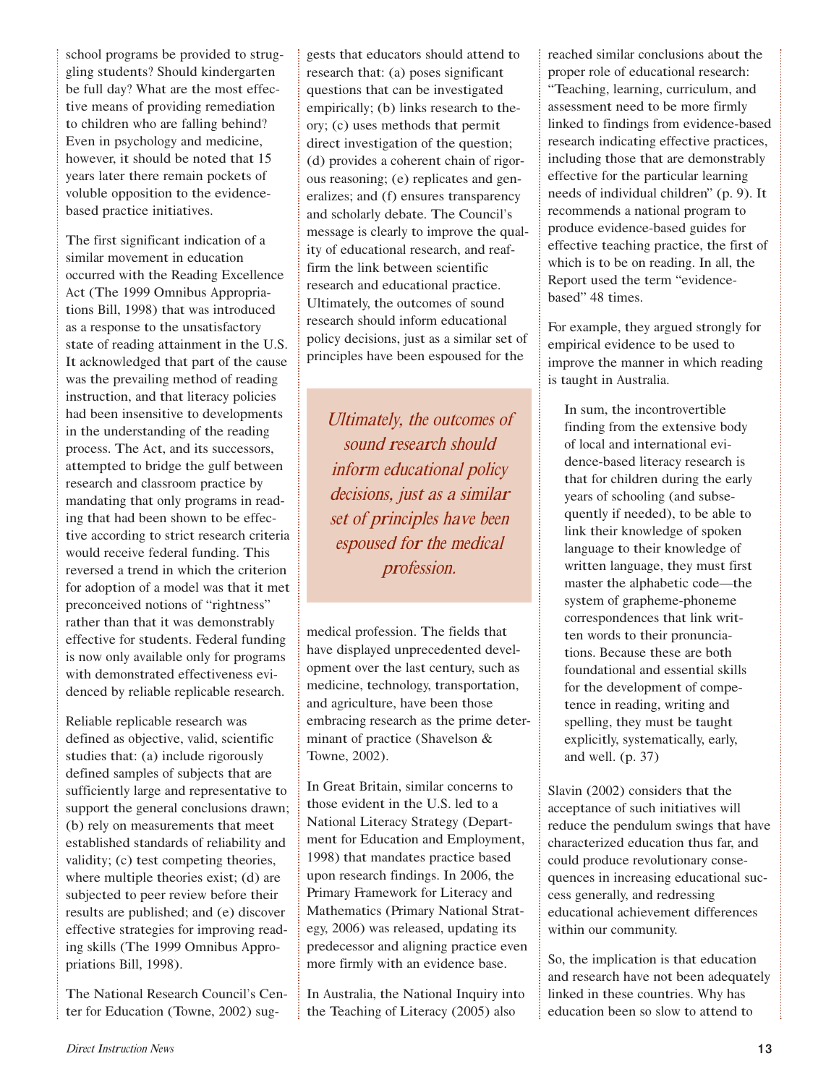school programs be provided to struggling students? Should kindergarten be full day? What are the most effective means of providing remediation to children who are falling behind? Even in psychology and medicine, however, it should be noted that <sup>15</sup> years later there remain pockets of voluble opposition to the evidencebased practice initiatives.

The first significant indication of a similar movement in education occurred with the Reading Excellence Act (The <sup>1999</sup> Omnibus Appropriations Bill, 1998) that was introduced as a response to the unsatisfactory state of reading attainment in the U.S. It acknowledged that part of the cause was the prevailing method of reading instruction, and that literacy policies had been insensitive to developments in the understanding of the reading process. The Act, and its successors, attempted to bridge the gulf between research and classroom practice by mandating that only programs in reading that had been shown to be effective according to strict research criteria would receive federal funding. This reversed a trend in which the criterion for adoption of a model was that it met preconceived notions of "rightness" rather than that it was demonstrably effective for students. Federal funding is now only available only for programs with demonstrated effectiveness evidenced by reliable replicable research.

Reliable replicable research was defined as objective, valid, scientific studies that: (a) include rigorously defined samples of subjects that are sufficiently large and representative to support the general conclusions drawn; (b) rely on measurements that meet established standards of reliability and validity; (c) test competing theories, where multiple theories exist; (d) are subjected to peer review before their results are published; and (e) discover effective strategies for improving reading skills (The <sup>1999</sup> Omnibus Appropriations Bill, 1998).

The National Research Council's Center for Education (Towne, 2002) suggests that educators should attend to research that: (a) poses significant questions that can be investigated empirically; (b) links research to theory; (c) uses methods that permit direct investigation of the question; (d) provides a coherent chain of rigorous reasoning; (e) replicates and generalizes; and (f) ensures transparency and scholarly debate. The Council's message is clearly to improve the quality of educational research, and reaffirm the link between scientific research and educational practice. <sup>U</sup>ltimately, the outcomes of sound research should inform educational policy decisions, just as a similar set of principles have been espoused for the

Ultimately, <sup>t</sup>h<sup>e</sup> <sup>o</sup>utcome<sup>s</sup> <sup>o</sup>f sound <sup>r</sup>esearch <sup>s</sup>h<sup>o</sup>uld infor<sup>m</sup> <sup>e</sup>ducational poli<sup>c</sup>y decisions, just as a similar <sup>s</sup>e<sup>t</sup> <sup>o</sup>f principle<sup>s</sup> h<sup>a</sup>v<sup>e</sup> bee<sup>n</sup> <sup>e</sup>sp<sup>o</sup>used fo<sup>r</sup> <sup>t</sup>h<sup>e</sup> <sup>m</sup>edical profession.

medical profession. The fields that have displayed unprecedented development over the last century, such as medicine, technology, transportation, and agriculture, have been those embracing research as the prime determinant of practice (Shavelson & Towne, 2002).

In Great Britain, similar concerns to those evident in the U.S. led to a National Literacy Strategy (Department for Education and Employment, 1998) that mandates practice based upon research findings. In 2006, the Primary Framework for Literacy and Mathematics (Primary National Strategy, 2006) was released, updating its predecessor and aligning practice even more firmly with an evidence base.

In Australia, the National Inquiry into the Teaching of Literacy (2005) also

reached similar conclusions about the proper role of educational research: "Teaching, learning, curriculum, and assessment need to be more firmly linked to findings from evidence-based research indicating effective practices, including those that are demonstrably effective for the particular learning needs of individual children" (p. 9). It recommends a national program to produce evidence-based guides for effective teaching practice, the first of which is to be on reading. In all, the Report used the term "evidencebased" <sup>48</sup> times.

For example, they argued strongly for empirical evidence to be used to improve the manner in which reading is taught in Australia.

In sum, the incontrovertible finding from the extensive body of local and international evidence-based literacy research is that for children during the early years of schooling (and subsequently if needed), to be able to link their knowledge of spoken language to their knowledge of written language, they must first master the alphabetic code—the system of grapheme-phoneme correspondences that link written words to their pronunciations. Because these are both foundational and essential skills for the development of competence in reading, writing and spelling, they must be taught explicitly, systematically, early, and well. (p. 37)

Slavin (2002) considers that the acceptance of such initiatives will reduce the pendulum swings that have characterized education thus far, and could produce revolutionary consequences in increasing educational success generally, and redressing educational achievement differences within our community.

So, the implication is that education and research have not been adequately linked in these countries. Why has education been so slow to attend to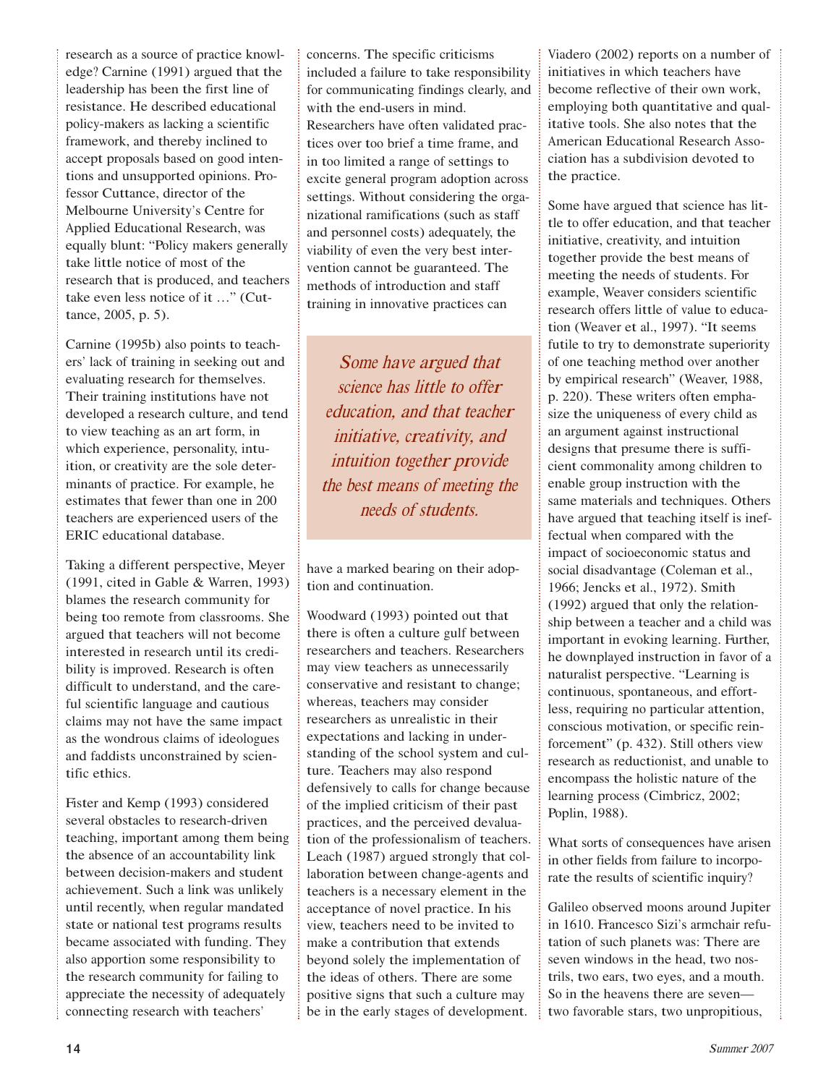research as a source of practice knowledge? Carnine (1991) argued that the leadership has been the first line of resistance. He described educational policy-makers as lacking a scientific framework, and thereby inclined to accept proposals based on good intentions and unsupported opinions. Professor Cuttance, director of the Melbourne University's Centre for Applied Educational Research, was equally blunt: "Policy makers generally take little notice of most of the research that is produced, and teachers take even less notice of it …" (Cuttance, 2005, p. 5).

Carnine (1995b) also points to teachers' lack of training in seeking out and evaluating research for themselves. Their training institutions have not developed a research culture, and tend to view teaching as an art form, in which experience, personality, intuition, or creativity are the sole determinants of practice. For example, he estimates that fewer than one in <sup>200</sup> teachers are experienced users of the ERIC educational database.

Taking a different perspective, Meyer (1991, cited in Gable & Warren, 1993) blames the research community for being too remote from classrooms. She argued that teachers will not become interested in research until its credibility is improved. Research is often difficult to understand, and the careful scientific language and cautious claims may not have the same impact as the wondrous claims of ideologues and faddists unconstrained by scientific ethics.

Fister and Kemp (1993) considered several obstacles to research-driven teaching, important among them being the absence of an accountability link between decision-makers and student achievement. Such a link was unlikely until recently, when regular mandated state or national test programs results became associated with funding. They also apportion some responsibility to the research community for failing to appreciate the necessity of adequately connecting research with teachers'

concerns. The specific criticisms included a failure to take responsibility for communicating findings clearly, and with the end-users in mind. Researchers have often validated practices over too brief a time frame, and in too limited a range of settings to excite general program adoption across settings. Without considering the organizational ramifications (such as staff and personnel costs) adequately, the viability of even the very best intervention cannot be guaranteed. The methods of introduction and staff training in innovative practices can

Som<sup>e</sup> h<sup>a</sup>v<sup>e</sup> <sup>a</sup>rgu<sup>e</sup>d <sup>t</sup>ha<sup>t</sup> <sup>s</sup>cienc<sup>e</sup> ha<sup>s</sup> littl<sup>e</sup> t<sup>o</sup> <sup>o</sup>ffe<sup>r</sup> <sup>e</sup>ducation, <sup>a</sup>nd that teache<sup>r</sup> initiative, <sup>c</sup>reativity, <sup>a</sup>nd intuitio<sup>n</sup> <sup>t</sup>ogethe<sup>r</sup> provid<sup>e</sup> <sup>t</sup>h<sup>e</sup> bes<sup>t</sup> <sup>m</sup>ean<sup>s</sup> <sup>o</sup>f <sup>m</sup>eeting <sup>t</sup>h<sup>e</sup> <sup>n</sup>eed<sup>s</sup> <sup>o</sup>f <sup>s</sup>tudents.

have a marked bearing on their adoption and continuation.

Woodward (1993) pointed out that there is often a culture gulf between researchers and teachers. Researchers may view teachers as unnecessarily conservative and resistant to change; whereas, teachers may consider researchers as unrealistic in their expectations and lacking in understanding of the school system and culture. Teachers may also respond defensively to calls for change because of the implied criticism of their past practices, and the perceived devaluation of the professionalism of teachers. Leach (1987) argued strongly that collaboration between change-agents and teachers is a necessary element in the acceptance of novel practice. In his view, teachers need to be invited to make a contribution that extends beyond solely the implementation of the ideas of others. There are some positive signs that such a culture may be in the early stages of development.

Viadero (2002) reports on a number of initiatives in which teachers have become reflective of their own work, employing both quantitative and qualitative tools. She also notes that the American Educational Research Association has a subdivision devoted to the practice.

Some have argued that science has little to offer education, and that teacher initiative, creativity, and intuition together provide the best means of meeting the needs of students. For example, Weaver considers scientific research offers little of value to education (Weaver et al., 1997). "It seems futile to try to demonstrate superiority of one teaching method over another by empirical research" (Weaver, 1988, p. 220). These writers often emphasize the uniqueness of every child as an argument against instructional designs that presume there is sufficient commonality among children to enable group instruction with the same materials and techniques. Others have argued that teaching itself is ineffectual when compared with the impact of socioeconomic status and social disadvantage (Coleman et al., <sup>1966</sup>; Jencks et al., 1972). Smith (1992) argued that only the relationship between a teacher and a child was important in evoking learning. Further, he downplayed instruction in favor of a naturalist perspective. "Learning is continuous, spontaneous, and effortless, requiring no particular attention, conscious motivation, or specific reinforcement" (p. 432). Still others view research as reductionist, and unable to encompass the holistic nature of the learning process (Cimbricz, <sup>2002</sup>; Poplin, 1988).

What sorts of consequences have arisen in other fields from failure to incorporate the results of scientific inquiry?

Galileo observed moons around Jupiter in 1610. Francesco Sizi's armchair refutation of such planets was: There are seven windows in the head, two nostrils, two ears, two eyes, and a mouth. So in the heavens there are seven two favorable stars, two unpropitious,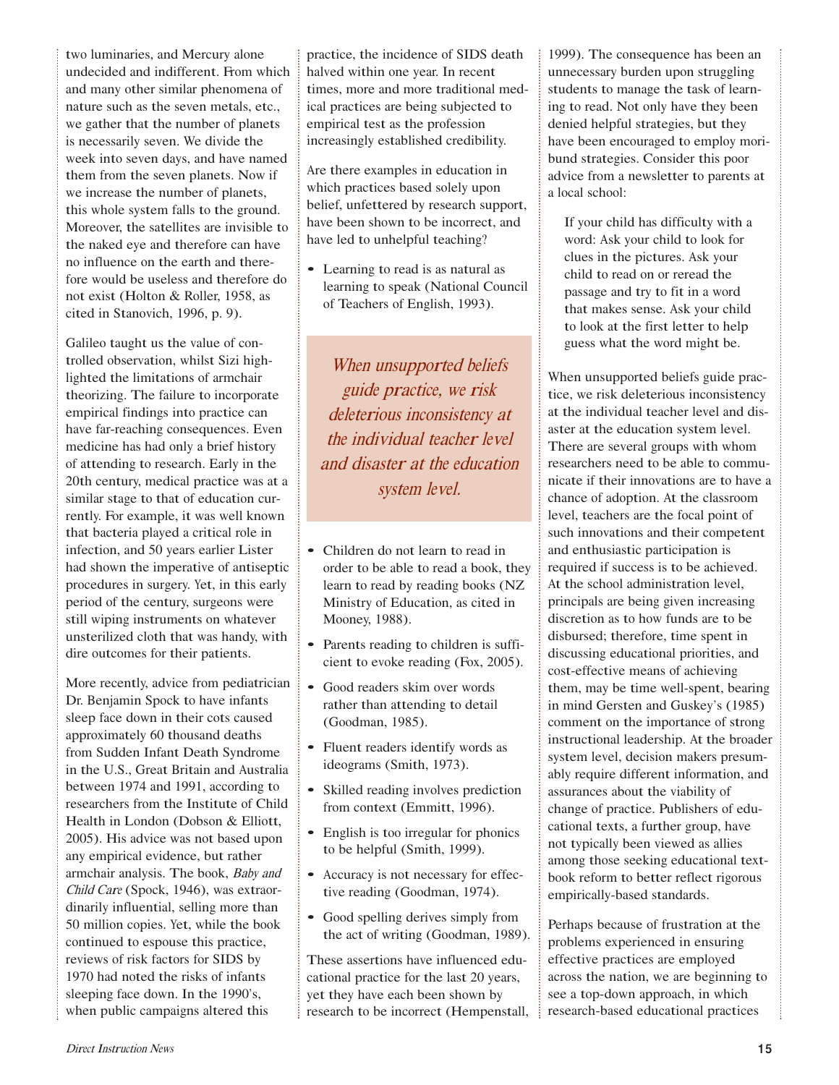two luminaries, and Mercury alone undecided and indifferent. From which and many other similar phenomena of nature such as the seven metals, etc., we gather that the number of planets is necessarily seven. We divide the week into seven days, and have named them from the seven planets. Now if we increase the number of planets, this whole system falls to the ground. Moreover, the satellites are invisible to the naked eye and therefore can have no influence on the earth and therefore would be useless and therefore do not exist (Holton & Roller, 1958, as cited in Stanovich, 1996, p. 9).

Galileo taught us the value of controlled observation, whilst Sizi highlighted the limitations of armchair theorizing. The failure to incorporate empirical findings into practice can have far-reaching consequences. Even medicine has had only a brief history of attending to research. Early in the 20th century, medical practice was at a similar stage to that of education currently. For example, it was well known that bacteria played a critical role in infection, and <sup>50</sup> years earlier Lister had shown the imperative of antiseptic procedures in surgery. Yet, in this early period of the century, surgeons were still wiping instruments on whatever unsterilized cloth that was handy, with dire outcomes for their patients.

More recently, advice from pediatrician Dr. Benjamin Spock to have infants sleep face down in their cots caused approximately <sup>60</sup> thousand deaths from Sudden Infant Death Syndrome in the U.S., Great Britain and Australia between <sup>1974</sup> and 1991, according to researchers from the Institute of Child Health in London (Dobson & Elliott, 2005). His advice was not based upon any empirical evidence, but rather armchair analysis. The book, <sup>B</sup>ab<sup>y</sup> <sup>a</sup>n<sup>d</sup> <sup>C</sup>hil<sup>d</sup> <sup>C</sup>ar<sup>e</sup> (Spock, 1946), was extraordinarily influential, selling more than <sup>50</sup> million copies. Yet, while the book continued to espouse this practice, reviews of risk factors for SIDS by <sup>1970</sup> had noted the risks of infants sleeping face down. In the <sup>1990</sup>'s, when public campaigns altered this

practice, the incidence of SIDS death halved within one year. In recent times, more and more traditional medical practices are being subjected to empirical test as the profession increasingly established credibility.

Are there examples in education in which practices based solely upon belief, unfettered by research support, have been shown to be incorrect, and have led to unhelpful teaching?

• Learning to read is as natural as learning to speak (National Council of Teachers of English, 1993).

When unsupported beliefs guid<sup>e</sup> practice, <sup>w</sup><sup>e</sup> <sup>r</sup>isk deleterious inconsistency at th<sup>e</sup> individu<sup>a</sup>l teache<sup>r</sup> l<sup>e</sup>v<sup>e</sup>l <sup>a</sup>nd disaste<sup>r</sup> <sup>a</sup>t th<sup>e</sup> <sup>e</sup>ducatio<sup>n</sup> <sup>s</sup>yste<sup>m</sup> l<sup>e</sup>v<sup>e</sup>l.

- Children do not learn to read in order to be able to read a book, they learn to read by reading books (NZ Ministry of Education, as cited in Mooney, 1988).
- Parents reading to children is sufficient to evoke reading (Fox, 2005).
- Good readers skim over words rather than attending to detail (Goodman, 1985).
- Fluent readers identify words as ideograms (Smith, 1973).
- Skilled reading involves prediction from context (Emmitt, 1996).
- English is too irregular for phonics to be helpful (Smith, 1999).
- Accuracy is not necessary for effective reading (Goodman, 1974).
- Good spelling derives simply from the act of writing (Goodman, 1989).

These assertions have influenced educational practice for the last <sup>20</sup> years, yet they have each been shown by research to be incorrect (Hempenstall, 1999). The consequence has been an unnecessary burden upon struggling students to manage the task of learning to read. Not only have they been denied helpful strategies, but they have been encouraged to employ moribund strategies. Consider this poor advice from a newsletter to parents at a local school:

If your child has difficulty with a word: Ask your child to look for clues in the pictures. Ask your child to read on or reread the passage and try to fit in a word that makes sense. Ask your child to look at the first letter to help guess what the word might be.

When unsupported beliefs guide practice, we risk deleterious inconsistency at the individual teacher level and disaster at the education system level. There are several groups with whom researchers need to be able to communicate if their innovations are to have a chance of adoption. At the classroom level, teachers are the focal point of such innovations and their competent and enthusiastic participation is required if success is to be achieved. At the school administration level, principals are being given increasing discretion as to how funds are to be disbursed; therefore, time spent in discussing educational priorities, and cost-effective means of achieving them, may be time well-spent, bearing in mind Gersten and Guskey's (1985) comment on the importance of strong instructional leadership. At the broader system level, decision makers presumably require different information, and assurances about the viability of change of practice. Publishers of educational texts, a further group, have not typically been viewed as allies among those seeking educational textbook reform to better reflect rigorous empirically-based standards.

Perhaps because of frustration at the problems experienced in ensuring effective practices are employed across the nation, we are beginning to see a top-down approach, in which research-based educational practices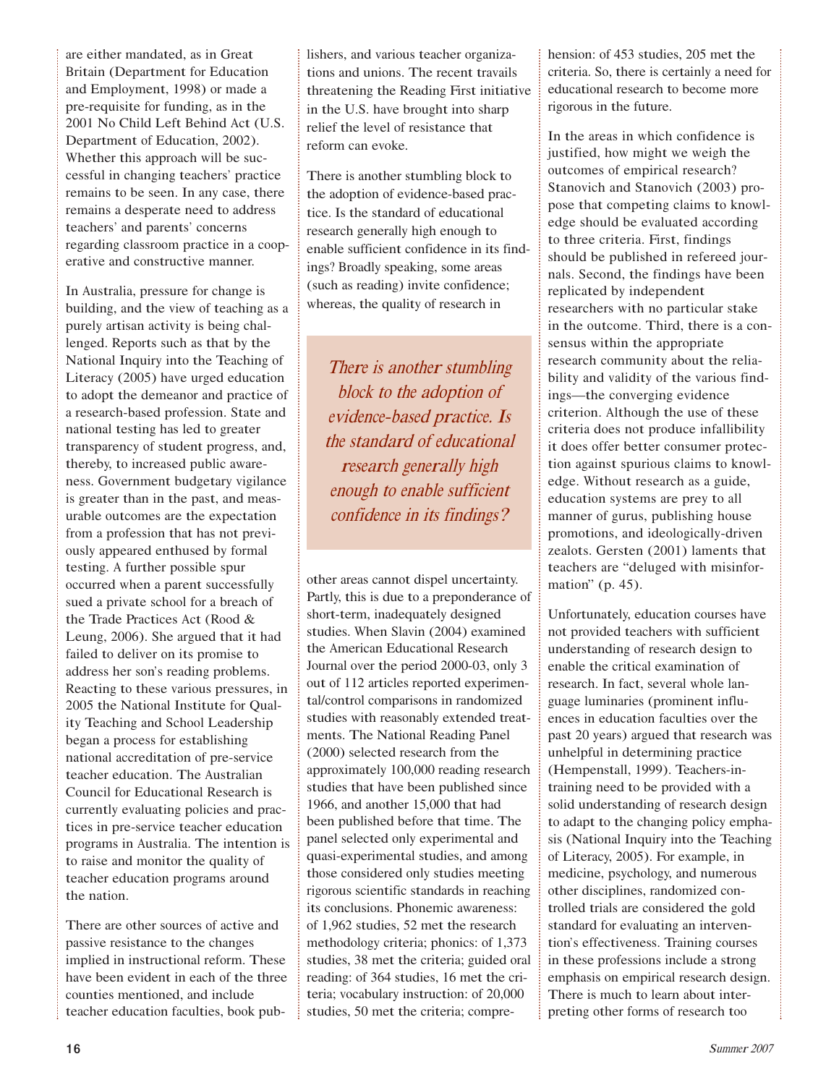are either mandated, as in Great Britain (Department for Education and Employment, 1998) or made a pre-requisite for funding, as in the <sup>2001</sup> No Child Left Behind Act (U.S. Department of Education, 2002). Whether this approach will be successful in changing teachers' practice remains to be seen. In any case, there remains a desperate need to address teachers' and parents' concerns regarding classroom practice in a cooperative and constructive manner.

In Australia, pressure for change is building, and the view of teaching as a purely artisan activity is being challenged. Reports such as that by the National Inquiry into the Teaching of Literacy (2005) have urged education to adopt the demeanor and practice of a research-based profession. State and national testing has led to greater transparency of student progress, and, thereby, to increased public awareness. Government budgetary vigilance is greater than in the past, and measurable outcomes are the expectation from a profession that has not previously appeared enthused by formal testing. A further possible spur occurred when a parent successfully sued a private school for a breach of the Trade Practices Act (Rood & Leung, 2006). She argued that it had failed to deliver on its promise to address her son's reading problems. Reacting to these various pressures, in <sup>2005</sup> the National Institute for Quality Teaching and School Leadership began a process for establishing national accreditation of pre-service teacher education. The Australian Council for Educational Research is currently evaluating policies and practices in pre-service teacher education programs in Australia. The intention is to raise and monitor the quality of teacher education programs around the nation.

There are other sources of active and passive resistance to the changes implied in instructional reform. These have been evident in each of the three counties mentioned, and include teacher education faculties, book publishers, and various teacher organizations and unions. The recent travails threatening the Reading First initiative in the U.S. have brought into sharp relief the level of resistance that reform can evoke.

There is another stumbling block to the adoption of evidence-based practice. Is the standard of educational research generally high enough to enable sufficient confidence in its findings? Broadly speaking, some areas (such as reading) invite confidence; whereas, the quality of research in

There is another stumbling block to the adoption of <sup>e</sup>vidence-based practice. I<sup>s</sup> th<sup>e</sup> <sup>s</sup>tandard <sup>o</sup>f <sup>e</sup>ducational <sup>r</sup>esearch generally high <sup>e</sup>nough <sup>t</sup><sup>o</sup> <sup>e</sup>nabl<sup>e</sup> <sup>s</sup>ufficien<sup>t</sup> <sup>c</sup>onfidenc<sup>e</sup> i<sup>n</sup> it<sup>s</sup> findings?

other areas cannot dispel uncertainty. Partly, this is due to a preponderance of short-term, inadequately designed studies. When Slavin (2004) examined the American Educational Research Journal over the period <sup>2000</sup>-03, only <sup>3</sup> out of <sup>112</sup> articles reported experimental/control comparisons in randomized studies with reasonably extended treatments. The National Reading Panel (2000) selected research from the approximately 100,000 reading research studies that have been published since 1966, and another 15,000 that had been published before that time. The panel selected only experimental and quasi-experimental studies, and among those considered only studies meeting rigorous scientific standards in reaching its conclusions. Phonemic awareness: of 1,962 studies, <sup>52</sup> met the research methodology criteria; phonics: of 1,373 studies, <sup>38</sup> met the criteria; guided oral reading: of <sup>364</sup> studies, <sup>16</sup> met the criteria; vocabulary instruction: of 20,000 studies, <sup>50</sup> met the criteria; comprehension: of <sup>453</sup> studies, <sup>205</sup> met the criteria. So, there is certainly a need for educational research to become more rigorous in the future.

In the areas in which confidence is justified, how might we weigh the outcomes of empirical research? Stanovich and Stanovich (2003) propose that competing claims to knowledge should be evaluated according to three criteria. First, findings should be published in refereed journals. Second, the findings have been replicated by independent researchers with no particular stake in the outcome. Third, there is a consensus within the appropriate research community about the reliability and validity of the various findings—the converging evidence criterion. Although the use of these criteria does not produce infallibility it does offer better consumer protection against spurious claims to knowledge. Without research as a guide, education systems are prey to all manner of gurus, publishing house promotions, and ideologically-driven zealots. Gersten (2001) laments that teachers are "deluged with misinformation" (p. 45).

<sup>U</sup>nfortunately, education courses have not provided teachers with sufficient understanding of research design to enable the critical examination of research. In fact, several whole language luminaries (prominent influences in education faculties over the past <sup>20</sup> years) argued that research was unhelpful in determining practice (Hempenstall, 1999). Teachers-intraining need to be provided with a solid understanding of research design to adapt to the changing policy emphasis (National Inquiry into the Teaching of Literacy, 2005). For example, in medicine, psychology, and numerous other disciplines, randomized controlled trials are considered the gold standard for evaluating an intervention's effectiveness. Training courses in these professions include a strong emphasis on empirical research design. There is much to learn about interpreting other forms of research too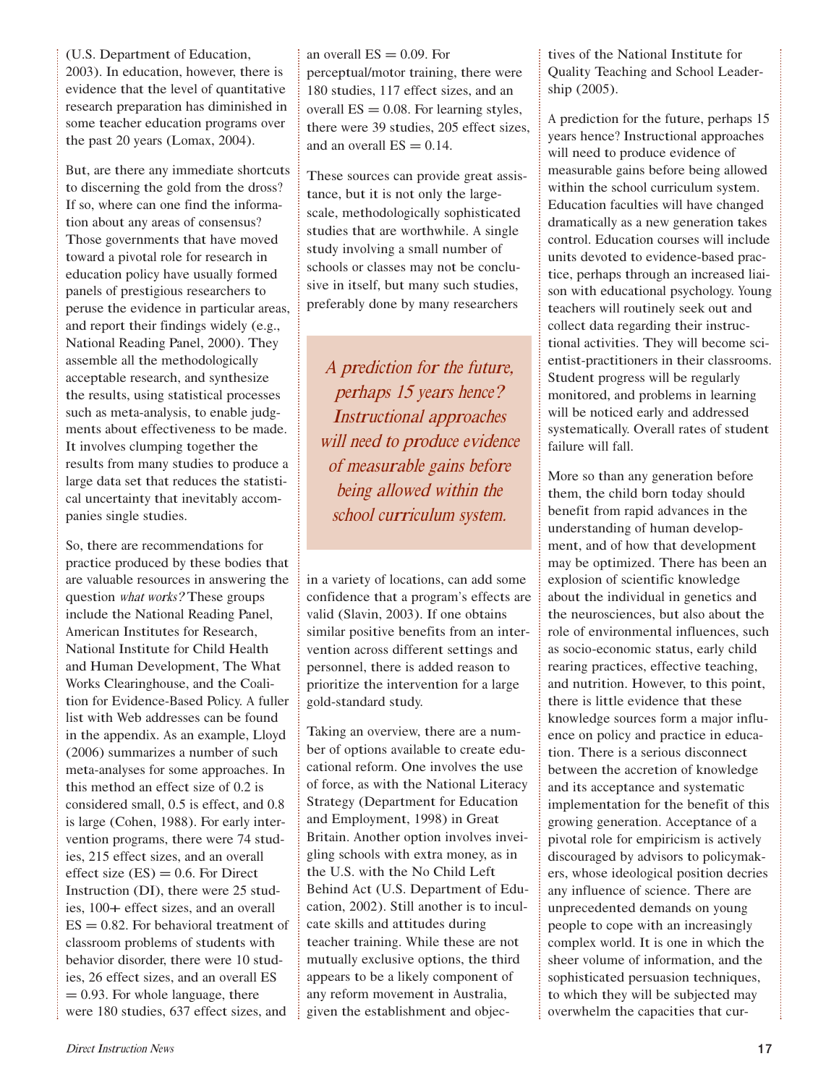(U.S. Department of Education, 2003). In education, however, there is evidence that the level of quantitative research preparation has diminished in some teacher education programs over the past <sup>20</sup> years (Lomax, 2004).

But, are there any immediate shortcuts to discerning the gold from the dross? If so, where can one find the information about any areas of consensus? Those governments that have moved toward a pivotal role for research in education policy have usually formed panels of prestigious researchers to peruse the evidence in particular areas, and report their findings widely (e.g., National Reading Panel, 2000). They assemble all the methodologically acceptable research, and synthesize the results, using statistical processes such as meta-analysis, to enable judgments about effectiveness to be made. It involves clumping together the results from many studies to produce a large data set that reduces the statistical uncertainty that inevitably accompanies single studies.

So, there are recommendations for practice produced by these bodies that are valuable resources in answering the question <sup>w</sup>ha<sup>t</sup> <sup>w</sup>orks? These groups include the National Reading Panel, American Institutes for Research, National Institute for Child Health and Human Development, The What Works Clearinghouse, and the Coalition for Evidence-Based Policy. A fuller list with Web addresses can be found in the appendix. As an example, Lloyd (2006) summarizes a number of such meta-analyses for some approaches. In this method an effect size of 0.2 is considered small, 0.5 is effect, and 0.8 is large (Cohen, 1988). For early intervention programs, there were <sup>74</sup> studies, <sup>215</sup> effect sizes, and an overall effect size  $(ES) = 0.6$ . For Direct Instruction (DI), there were <sup>25</sup> studies, 100+ effect sizes, and an overall  $ES = 0.82$ . For behavioral treatment of classroom problems of students with behavior disorder, there were <sup>10</sup> studies, <sup>26</sup> effect sizes, and an overall ES  $= 0.93$ . For whole language, there were <sup>180</sup> studies, <sup>637</sup> effect sizes, and

an overall  $ES = 0.09$ . For perceptual/motor training, there were <sup>180</sup> studies, <sup>117</sup> effect sizes, and an overall  $ES = 0.08$ . For learning styles, there were <sup>39</sup> studies, <sup>205</sup> effect sizes, and an overall  $ES = 0.14$ .

These sources can provide great assistance, but it is not only the largescale, methodologically sophisticated studies that are worthwhile. A single study involving a small number of schools or classes may not be conclusive in itself, but many such studies, preferably done by many researchers

A predictio<sup>n</sup> fo<sup>r</sup> <sup>t</sup>h<sup>e</sup> future, perhap<sup>s</sup> 15 year<sup>s</sup> hence? Instructional <sup>a</sup>pproache<sup>s</sup> will need to produce evidence <sup>o</sup>f <sup>m</sup>easurabl<sup>e</sup> gain<sup>s</sup> befor<sup>e</sup> being <sup>a</sup>ll<sup>o</sup>w<sup>e</sup>d <sup>w</sup>ithi<sup>n</sup> <sup>t</sup>h<sup>e</sup> <sup>s</sup>chool <sup>c</sup>urri<sup>c</sup>ulu<sup>m</sup> <sup>s</sup>ystem.

in a variety of locations, can add some confidence that a program's effects are valid (Slavin, 2003). If one obtains similar positive benefits from an intervention across different settings and personnel, there is added reason to prioritize the intervention for a large gold-standard study.

Taking an overview, there are a number of options available to create educational reform. One involves the use of force, as with the National Literacy Strategy (Department for Education and Employment, 1998) in Great Britain. Another option involves inveigling schools with extra money, as in the U.S. with the No Child Left Behind Act (U.S. Department of Education, 2002). Still another is to inculcate skills and attitudes during teacher training. While these are not mutually exclusive options, the third appears to be a likely component of any reform movement in Australia, given the establishment and objectives of the National Institute for Quality Teaching and School Leadership (2005).

A prediction for the future, perhaps <sup>15</sup> years hence? Instructional approaches will need to produce evidence of measurable gains before being allowed within the school curriculum system. Education faculties will have changed dramatically as a new generation takes control. Education courses will include units devoted to evidence-based practice, perhaps through an increased liaison with educational psychology. Young teachers will routinely seek out and collect data regarding their instructional activities. They will become scientist-practitioners in their classrooms. Student progress will be regularly monitored, and problems in learning will be noticed early and addressed systematically. Overall rates of student failure will fall.

More so than any generation before them, the child born today should benefit from rapid advances in the understanding of human development, and of how that development may be optimized. There has been an explosion of scientific knowledge about the individual in genetics and the neurosciences, but also about the role of environmental influences, such as socio-economic status, early child rearing practices, effective teaching, and nutrition. However, to this point, there is little evidence that these knowledge sources form a major influence on policy and practice in education. There is a serious disconnect between the accretion of knowledge and its acceptance and systematic implementation for the benefit of this growing generation. Acceptance of a pivotal role for empiricism is actively discouraged by advisors to policymakers, whose ideological position decries any influence of science. There are unprecedented demands on young people to cope with an increasingly complex world. It is one in which the sheer volume of information, and the sophisticated persuasion techniques, to which they will be subjected may overwhelm the capacities that cur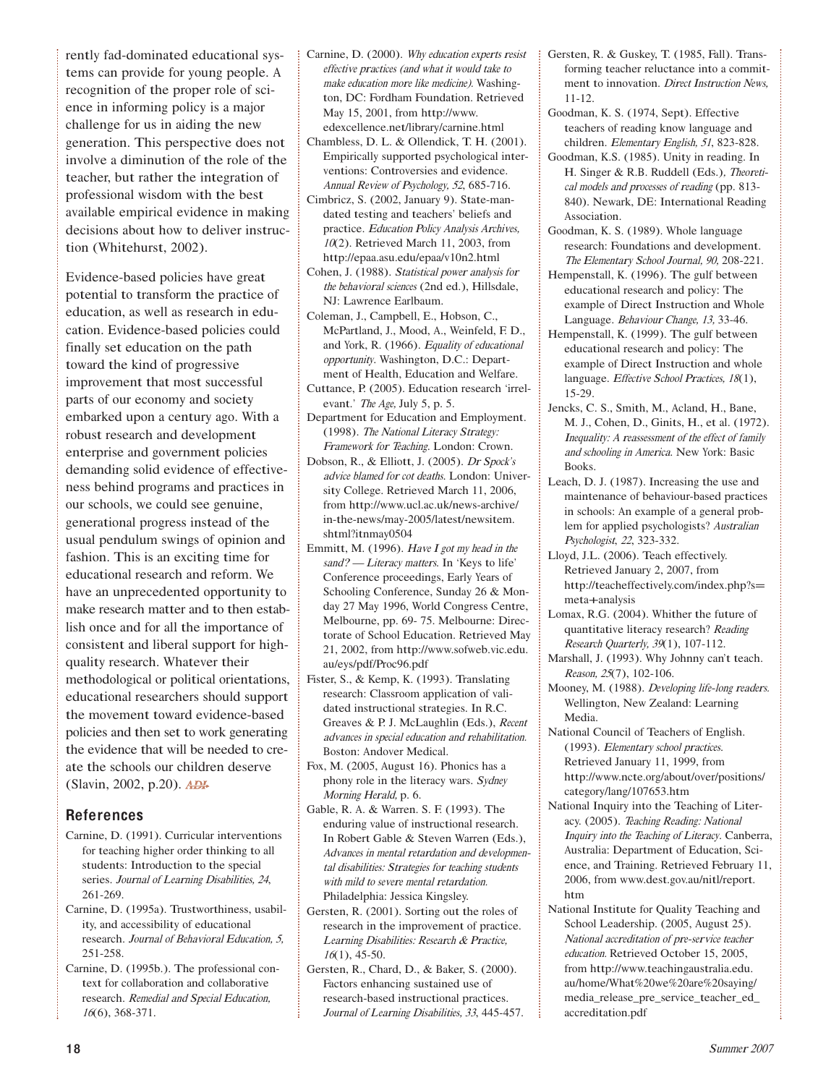rently fad-dominated educational systems can provide for young people. A recognition of the proper role of science in informing policy is a major challenge for us in aiding the new generation. This perspective does not involve a diminution of the role of the teacher, but rather the integration of professional wisdom with the best available empirical evidence in making decisions about how to deliver instruction (Whitehurst, 2002).

Evidence-based policies have great potential to transform the practice of education, as well as research in education. Evidence-based policies could finally set education on the path toward the kind of progressive improvement that most successful parts of our economy and society embarked upon a century ago. With a robust research and development enterprise and government policies demanding solid evidence of effectiveness behind programs and practices in our schools, we could see genuine, generational progress instead of the usual pendulum swings of opinion and fashion. This is an exciting time for educational research and reform. We have an unprecedented opportunity to make research matter and to then establish once and for all the importance of consistent and liberal support for highquality research. Whatever their methodological or political orientations, educational researchers should support the movement toward evidence-based policies and then set to work generating the evidence that will be needed to create the schools our children deserve (Slavin, 2002, p.20). ADI-

### References

- Carnine, D. (1991). Curricular interventions for teaching higher order thinking to all students: Introduction to the special series. <sup>J</sup><sup>o</sup>urna<sup>l</sup> <sup>o</sup><sup>f</sup> <sup>L</sup>earnin<sup>g</sup> <sup>D</sup>isabilities, <sup>24</sup>, <sup>261</sup>-269.
- Carnine, D. (1995a). Trustworthiness, usability, and accessibility of educational research. <sup>J</sup><sup>o</sup>urna<sup>l</sup> <sup>o</sup><sup>f</sup> <sup>B</sup>eh<sup>a</sup>viora<sup>l</sup> <sup>E</sup>ducation, 5, <sup>251</sup>-258.
- Carnine, D. (1995b.). The professional context for collaboration and collaborative research. <sup>R</sup>emedia<sup>l</sup> <sup>a</sup>n<sup>d</sup> <sup>S</sup>pecia<sup>l</sup> <sup>E</sup>ducation, 16(6), <sup>368</sup>-371.
- Carnine, D. (2000). <sup>W</sup>h<sup>y</sup> <sup>e</sup>ducatio<sup>n</sup> <sup>e</sup>xpert<sup>s</sup> <sup>r</sup>esis<sup>t</sup> <sup>e</sup>ffectiv<sup>e</sup> practice<sup>s</sup> (and <sup>w</sup>ha<sup>t</sup> i<sup>t</sup> <sup>w</sup>ould <sup>t</sup>ak<sup>e</sup> <sup>t</sup><sup>o</sup> <sup>m</sup>ak<sup>e</sup> <sup>e</sup>ducatio<sup>n</sup> <sup>m</sup>or<sup>e</sup> lik<sup>e</sup> <sup>m</sup>edicine). Washington, DC: Fordham Foundation. Retrieved May 15, 2001, from http://www. edexcellence.net/library/carnine.html
- Chambless, D. L. & Ollendick, T. H. (2001). Empirically supported psychological interventions: Controversies and evidence. <sup>A</sup>nnua<sup>l</sup> <sup>R</sup>evi<sup>e</sup><sup>w</sup> <sup>o</sup><sup>f</sup> <sup>P</sup>sy<sup>c</sup>hology, <sup>52</sup>, <sup>685</sup>-716.
- Cimbricz, S. (2002, January 9). State-mandated testing and teachers' beliefs and practice. <sup>E</sup>ducatio<sup>n</sup> <sup>P</sup>oli<sup>c</sup><sup>y</sup> <sup>A</sup>naly<sup>s</sup>i<sup>s</sup> <sup>A</sup>rchives, <sup>10</sup>(2). Retrieved March 11, 2003, from http://epaa.asu.edu/epaa/v10n2.html
- Cohen, J. (1988). <sup>S</sup>tatistica<sup>l</sup> <sup>p</sup><sup>o</sup>we<sup>r</sup> <sup>a</sup>naly<sup>s</sup>i<sup>s</sup> <sup>f</sup>o<sup>r</sup> <sup>t</sup>h<sup>e</sup> <sup>b</sup>eh<sup>a</sup>viora<sup>l</sup> <sup>s</sup>cience<sup>s</sup> (2nd ed.), Hillsdale, NJ: Lawrence Earlbaum.
- Coleman, J., Campbell, E., Hobson, C., McPartland, J., Mood, A., Weinfeld, F. D., and York, R. (1966). <sup>E</sup>qu<sup>a</sup>lit<sup>y</sup> <sup>o</sup><sup>f</sup> <sup>e</sup>ducationa<sup>l</sup> <sup>o</sup>pportunity. Washington, D.C.: Department of Health, Education and Welfare.
- Cuttance, P. (2005). Education research 'irrelevant.' <sup>T</sup>h<sup>e</sup> <sup>A</sup>g<sup>e</sup>, July 5, p. 5.
- Department for Education and Employment. (1998). Th<sup>e</sup> National Literacy Strategy: <sup>F</sup>ramewor<sup>k</sup> <sup>f</sup>o<sup>r</sup> <sup>T</sup>eaching. London: Crown.
- Dobson, R., & Elliott, J. (2005). <sup>D</sup><sup>r</sup> <sup>S</sup>pock'<sup>s</sup> <sup>a</sup>dvic<sup>e</sup> <sup>b</sup>lame<sup>d</sup> <sup>f</sup>o<sup>r</sup> <sup>c</sup>o<sup>t</sup> <sup>d</sup>eaths. London: University College. Retrieved March 11, 2006, from http://www.ucl.ac.uk/news-archive/ in-the-news/may-2005/latest/newsitem. shtml?itnmay<sup>0504</sup>
- Emmitt, M. (1996). <sup>H</sup>av<sup>e</sup> <sup>I</sup> <sup>g</sup>o<sup>t</sup> <sup>m</sup><sup>y</sup> <sup>h</sup>ea<sup>d</sup> <sup>i</sup><sup>n</sup> <sup>t</sup>h<sup>e</sup> sand? - Literacy matters. In 'Keys to life' Conference proceedings, Early Years of Schooling Conference, Sunday <sup>26</sup> & Monday <sup>27</sup> May 1996, World Congress Centre, Melbourne, pp. <sup>69</sup>- 75. Melbourne: Directorate of School Education. Retrieved May 21, 2002, from http://www.sofweb.vic.edu. au/eys/pdf/Proc96.pdf
- Fister, S., & Kemp, K. (1993). Translating research: Classroom application of validated instructional strategies. In R.C. Greaves & P. J. McLaughlin (Eds.), <sup>R</sup>ecen<sup>t</sup> <sup>a</sup>dvance<sup>s</sup> i<sup>n</sup> <sup>s</sup>pecial <sup>e</sup>ducatio<sup>n</sup> <sup>a</sup>nd <sup>r</sup>ehabilitation. Boston: Andover Medical.
- Fox, M. (2005, August 16). Phonics has a phony role in the literacy wars. <sup>S</sup>ydne<sup>y</sup> Morning Herald, p. 6.
- Gable, R. A. & Warren. S. F. (1993). The enduring value of instructional research. In Robert Gable & Steven Warren (Eds.), Advance<sup>s</sup> i<sup>n</sup> <sup>m</sup>ental <sup>r</sup>etardatio<sup>n</sup> <sup>a</sup>nd d<sup>e</sup>v<sup>e</sup>lopmen<sup>t</sup>al disabilities: Strategie<sup>s</sup> fo<sup>r</sup> <sup>t</sup>eaching <sup>s</sup>tudent<sup>s</sup> <sup>w</sup>ith <sup>m</sup>ild t<sup>o</sup> <sup>s</sup>ever<sup>e</sup> <sup>m</sup>ental <sup>r</sup>etardation. Philadelphia: Jessica Kingsley.
- Gersten, R. (2001). Sorting out the roles of research in the improvement of practice. Learning Disabilities: Research & Practice,  $16(1)$ , 45-50.
- Gersten, R., Chard, D., & Baker, S. (2000). Factors enhancing sustained use of research-based instructional practices. <sup>J</sup><sup>o</sup>urna<sup>l</sup> <sup>o</sup><sup>f</sup> <sup>L</sup>earnin<sup>g</sup> <sup>D</sup>isabilities, <sup>33</sup>, <sup>445</sup>-457.
- Gersten, R. & Guskey, T. (1985, Fall). Transforming teacher reluctance into a commitment to innovation. <sup>D</sup>irec<sup>t</sup> <sup>I</sup>nstructio<sup>n</sup> <sup>N</sup><sup>e</sup>ws, <sup>11</sup>-12.
- Goodman, K. S. (1974, Sept). Effective teachers of reading know language and children. <sup>E</sup>lementa<sup>r</sup><sup>y</sup> <sup>E</sup>nglish, <sup>51</sup>, <sup>823</sup>-828.
- Goodman, K.S. (1985). Unity in reading. In H. Singer & R.B. Ruddell (Eds.), <sup>T</sup>heoreti<sup>c</sup>a<sup>l</sup> <sup>m</sup>odel<sup>s</sup> <sup>a</sup>n<sup>d</sup> <sup>p</sup>rocesse<sup>s</sup> <sup>o</sup><sup>f</sup> <sup>r</sup>eadin<sup>g</sup> (pp. <sup>813</sup>- 840). Newark, DE: International Reading Association.
- Goodman, K. S. (1989). Whole language research: Foundations and development. <sup>T</sup>h<sup>e</sup> <sup>E</sup>lementa<sup>r</sup><sup>y</sup> <sup>S</sup>choo<sup>l</sup> <sup>J</sup><sup>o</sup>urnal, 90, <sup>208</sup>-221.
- Hempenstall, K. (1996). The gulf between educational research and policy: The example of Direct Instruction and Whole Language. <sup>B</sup>eh<sup>a</sup>vi<sup>o</sup>u<sup>r</sup> <sup>C</sup>hang<sup>e</sup>, 13, <sup>33</sup>-46.
- Hempenstall, K. (1999). The gulf between educational research and policy: The example of Direct Instruction and whole language. Effective School Practices, 18(1), <sup>15</sup>-29.
- Jencks, C. S., Smith, M., Acland, H., Bane, M. J., Cohen, D., Ginits, H., et al. (1972). Inequ<sup>a</sup>lity: A <sup>r</sup>eassessmen<sup>t</sup> <sup>o</sup>f <sup>t</sup>h<sup>e</sup> <sup>e</sup>ffec<sup>t</sup> <sup>o</sup>f family <sup>a</sup>n<sup>d</sup> <sup>s</sup>choolin<sup>g</sup> <sup>i</sup><sup>n</sup> <sup>A</sup>merica. New York: Basic Books.
- Leach, D. J. (1987). Increasing the use and maintenance of behaviour-based practices in schools: An example of a general problem for applied psychologists? <sup>A</sup>ustralia<sup>n</sup> <sup>P</sup>sy<sup>c</sup>hologist, <sup>22</sup>, <sup>323</sup>-332.
- Lloyd, J.L. (2006). Teach effectively. Retrieved January 2, 2007, from http://teacheffectively.com/index.php?s= meta+analysis
- Lomax, R.G. (2004). Whither the future of quantitative literacy research? <sup>R</sup>eadin<sup>g</sup> <sup>R</sup>esearc<sup>h</sup> Quarterly, <sup>39</sup>(1), <sup>107</sup>-112.
- Marshall, J. (1993). Why Johnny can't teach. <sup>R</sup>eason, 25(7), <sup>102</sup>-106.
- Mooney, M. (1988). <sup>D</sup>ev<sup>e</sup>lopin<sup>g</sup> lif<sup>e</sup>-lon<sup>g</sup> <sup>r</sup>eaders. Wellington, New Zealand: Learning Media.
- National Council of Teachers of English. (1993). Elementa<sup>r</sup>y <sup>s</sup>chool practices. Retrieved January 11, 1999, from http://www.ncte.org/about/over/positions/ category/lang/107653.htm
- National Inquiry into the Teaching of Literacy. (2005). <sup>T</sup>eachin<sup>g</sup> <sup>R</sup>eading: <sup>N</sup>ationa<sup>l</sup> <sup>I</sup>nqui<sup>r</sup><sup>y</sup> <sup>i</sup>nt<sup>o</sup> <sup>t</sup>h<sup>e</sup> <sup>T</sup>eachin<sup>g</sup> <sup>o</sup><sup>f</sup> <sup>L</sup>iteracy. Canberra, Australia: Department of Education, Science, and Training. Retrieved February 11, 2006, from www.dest.gov.au/nitl/report. htm
- National Institute for Quality Teaching and School Leadership. (2005, August 25). National <sup>a</sup>ccreditatio<sup>n</sup> <sup>o</sup>f pre-servic<sup>e</sup> <sup>t</sup>eache<sup>r</sup> <sup>e</sup>ducation. Retrieved October 15, 2005, from http://www.teachingaustralia.edu. au/home/What%20we%20are%20saying/ media\_release\_pre\_service\_teacher\_ed\_ accreditation.pdf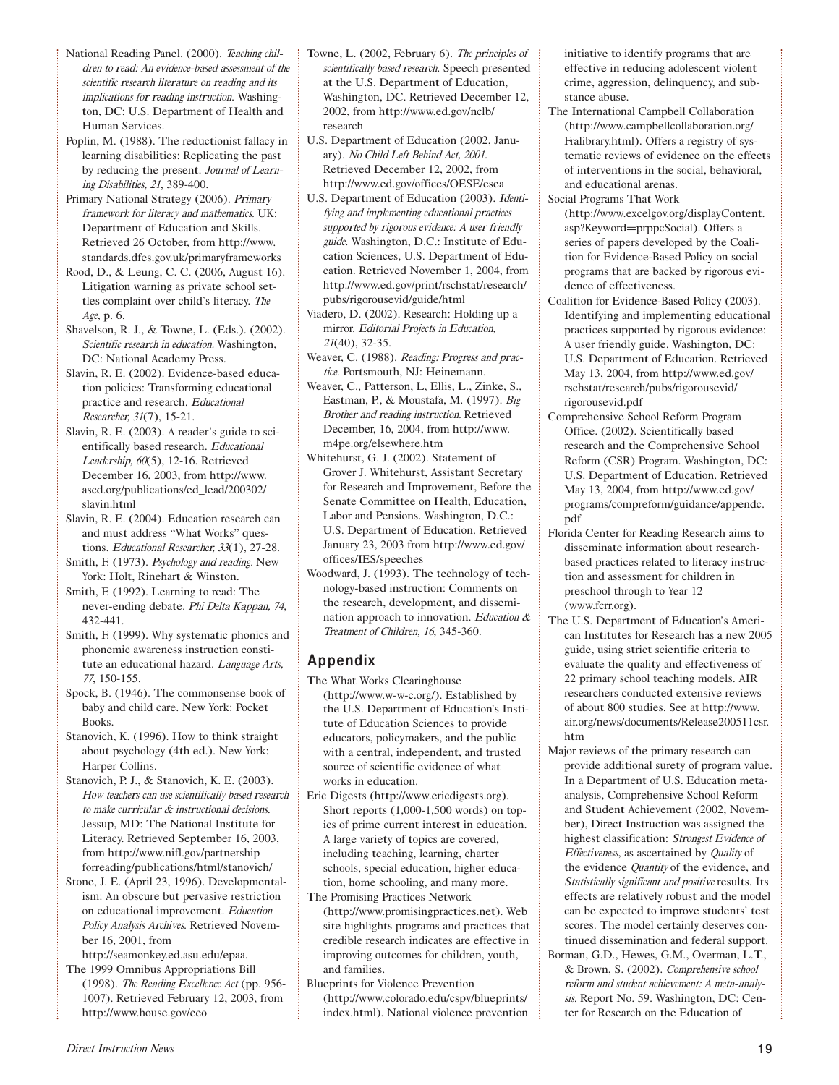- National Reading Panel. (2000). <sup>T</sup>eachin<sup>g</sup> <sup>c</sup>hildre<sup>n</sup> t<sup>o</sup> <sup>r</sup>ead: A<sup>n</sup> <sup>e</sup>vidence-based <sup>a</sup>ssessment <sup>o</sup>f th<sup>e</sup> <sup>s</sup>cientifi<sup>c</sup> <sup>r</sup>esearch literatur<sup>e</sup> <sup>o</sup><sup>n</sup> <sup>r</sup>eading <sup>a</sup>nd it<sup>s</sup> <sup>i</sup>mplication<sup>s</sup> <sup>f</sup>o<sup>r</sup> <sup>r</sup>eadin<sup>g</sup> <sup>i</sup>nstruction. Washington, DC: U.S. Department of Health and Human Services.
- Poplin, M. (1988). The reductionist fallacy in learning disabilities: Replicating the past by reducing the present. <sup>J</sup><sup>o</sup>urna<sup>l</sup> <sup>o</sup><sup>f</sup> <sup>L</sup>earn<sup>i</sup>n<sup>g</sup> <sup>D</sup>isabilities, <sup>21</sup>, <sup>389</sup>-400.
- Primary National Strategy (2006). <sup>P</sup>rima<sup>r</sup><sup>y</sup> <sup>f</sup>ramewor<sup>k</sup> <sup>f</sup>o<sup>r</sup> literac<sup>y</sup> <sup>a</sup>n<sup>d</sup> <sup>m</sup>athematics. <sup>U</sup>K: Department of Education and Skills. Retrieved <sup>26</sup> October, from http://www. standards.dfes.gov.uk/primaryframeworks
- Rood, D., & Leung, C. C. (2006, August 16). Litigation warning as private school settles complaint over child's literacy. <sup>T</sup>h<sup>e</sup> Age, p. 6.
- Shavelson, R. J., & Towne, L. (Eds.). (2002). <sup>S</sup>cientifi<sup>c</sup> <sup>r</sup>esearc<sup>h</sup> <sup>i</sup><sup>n</sup> <sup>e</sup>ducation. Washington, DC: National Academy Press.
- Slavin, R. E. (2002). Evidence-based education policies: Transforming educational practice and research. <sup>E</sup>ducationa<sup>l</sup> <sup>R</sup>esearcher, <sup>31</sup>(7), <sup>15</sup>-21.
- Slavin, R. E. (2003). A reader's guide to scientifically based research. <sup>E</sup>ducationa<sup>l</sup> <sup>L</sup>eadership, <sup>60</sup>(5), <sup>12</sup>-16. Retrieved December 16, 2003, from http://www. ascd.org/publications/ed\_lead/200302/ slavin.html
- Slavin, R. E. (2004). Education research can and must address "What Works" questions. Educational Researcher, 33(1), 27-28.
- Smith, F. (1973). Psychology and reading. New York: Holt, Rinehart & Winston.
- Smith, F. (1992). Learning to read: The never-ending debate. <sup>P</sup>h<sup>i</sup> <sup>D</sup>elt<sup>a</sup> <sup>K</sup>appan, <sup>74</sup>, <sup>432</sup>-441.
- Smith, F. (1999). Why systematic phonics and phonemic awareness instruction constitute an educational hazard. <sup>L</sup>angu<sup>a</sup>g<sup>e</sup> <sup>A</sup>rts, <sup>77</sup>, <sup>150</sup>-155.
- Spock, B. (1946). The commonsense book of baby and child care. New York: Pocket Books.
- Stanovich, K. (1996). How to think straight about psychology (4th ed.). New York: Harper Collins.
- Stanovich, P. J., & Stanovich, K. E. (2003). Ho<sup>w</sup> <sup>t</sup>eacher<sup>s</sup> <sup>c</sup>a<sup>n</sup> <sup>u</sup>s<sup>e</sup> <sup>s</sup>cientifically based <sup>r</sup>esearch t<sup>o</sup> <sup>m</sup>ak<sup>e</sup> <sup>c</sup>urri<sup>c</sup>ula<sup>r</sup> & instructional decisions. Jessup, MD: The National Institute for Literacy. Retrieved September 16, 2003, from http://www.nifl.gov/partnership forreading/publications/html/stanovich/
- Stone, J. E. (April 23, 1996). Developmentalism: An obscure but pervasive restriction on educational improvement. <sup>E</sup>ducatio<sup>n</sup> <sup>P</sup>oli<sup>c</sup><sup>y</sup> <sup>A</sup>naly<sup>s</sup>i<sup>s</sup> <sup>A</sup>rchives. Retrieved November 16, 2001, from

http://seamonkey.ed.asu.edu/epaa. The <sup>1999</sup> Omnibus Appropriations Bill

(1998). <sup>T</sup>h<sup>e</sup> <sup>R</sup>eadin<sup>g</sup> <sup>E</sup>xcellenc<sup>e</sup> Ac<sup>t</sup> (pp. <sup>956</sup>- 1007). Retrieved February 12, 2003, from http://www.house.gov/eeo

- Towne, L. (2002, February 6). <sup>T</sup>h<sup>e</sup> <sup>p</sup>rinciple<sup>s</sup> <sup>o</sup><sup>f</sup> <sup>s</sup>cientificall<sup>y</sup> <sup>b</sup>ase<sup>d</sup> <sup>r</sup>esearch. Speech presented at the U.S. Department of Education, Washington, DC. Retrieved December 12, 2002, from http://www.ed.gov/nclb/ research
- U.S. Department of Education (2002, January). <sup>N</sup><sup>o</sup> <sup>C</sup>hil<sup>d</sup> <sup>L</sup>ef<sup>t</sup> <sup>B</sup>ehin<sup>d</sup> Act, <sup>2001</sup>. Retrieved December 12, 2002, from http://www.ed.gov/offices/OESE/esea
- U.S. Department of Education (2003). <sup>I</sup>dentifying <sup>a</sup>nd implementing <sup>e</sup>ducational practice<sup>s</sup> supported by rigorous evidence: A user friendly guide. Washington, D.C.: Institute of Education Sciences, U.S. Department of Education. Retrieved November 1, 2004, from http://www.ed.gov/print/rschstat/research/ pubs/rigorousevid/guide/html
- Viadero, D. (2002). Research: Holding up a mirror. <sup>E</sup>ditoria<sup>l</sup> <sup>P</sup>roject<sup>s</sup> <sup>i</sup><sup>n</sup> <sup>E</sup>ducation, <sup>21</sup>(40), <sup>32</sup>-35.
- Weaver, C. (1988). <sup>R</sup>eading: <sup>P</sup>rogress <sup>a</sup>n<sup>d</sup> <sup>p</sup>rac<sup>t</sup>ice. Portsmouth, NJ: Heinemann.
- Weaver, C., Patterson, L, Ellis, L., Zinke, S., Eastman, P., & Moustafa, M. (1997). <sup>B</sup>i<sup>g</sup> <sup>B</sup>rothe<sup>r</sup> <sup>a</sup>n<sup>d</sup> <sup>r</sup>eadin<sup>g</sup> <sup>i</sup>nstruction. Retrieved December, 16, 2004, from http://www. m4pe.org/elsewhere.htm
- Whitehurst, G. J. (2002). Statement of Grover J. Whitehurst, Assistant Secretary for Research and Improvement, Before the Senate Committee on Health, Education, Labor and Pensions. Washington, D.C.: U.S. Department of Education. Retrieved January 23, <sup>2003</sup> from http://www.ed.gov/ offices/IES/speeches
- Woodward, J. (1993). The technology of technology-based instruction: Comments on the research, development, and dissemination approach to innovation. Education  $\&$ <sup>T</sup>reatmen<sup>t</sup> <sup>o</sup><sup>f</sup> <sup>C</sup>hildren, 16, <sup>345</sup>-360.

### Appendix

- The What Works Clearinghouse (http://www.w-w-c.org/). Established by the U.S. Department of Education's Institute of Education Sciences to provide educators, policymakers, and the public with a central, independent, and trusted source of scientific evidence of what works in education.
- Eric Digests (http://www.ericdigests.org). Short reports (1,000-1,500 words) on topics of prime current interest in education. A large variety of topics are covered, including teaching, learning, charter schools, special education, higher education, home schooling, and many more.
- The Promising Practices Network (http://www.promisingpractices.net). Web site highlights programs and practices that credible research indicates are effective in improving outcomes for children, youth, and families.
- Blueprints for Violence Prevention (http://www.colorado.edu/cspv/blueprints/ index.html). National violence prevention

initiative to identify programs that are effective in reducing adolescent violent crime, aggression, delinquency, and substance abuse.

- The International Campbell Collaboration (http://www.campbellcollaboration.org/ Fralibrary.html). Offers a registry of systematic reviews of evidence on the effects of interventions in the social, behavioral, and educational arenas.
- Social Programs That Work (http://www.excelgov.org/displayContent. asp?Keyword=prppcSocial). Offers a series of papers developed by the Coalition for Evidence-Based Policy on social programs that are backed by rigorous evidence of effectiveness.
- Coalition for Evidence-Based Policy (2003). Identifying and implementing educational practices supported by rigorous evidence: A user friendly guide. Washington, DC: U.S. Department of Education. Retrieved May 13, 2004, from http://www.ed.gov/ rschstat/research/pubs/rigorousevid/ rigorousevid.pdf
- Comprehensive School Reform Program Office. (2002). Scientifically based research and the Comprehensive School Reform (CSR) Program. Washington, DC: U.S. Department of Education. Retrieved May 13, 2004, from http://www.ed.gov/ programs/compreform/guidance/appendc. pdf
- Florida Center for Reading Research aims to disseminate information about researchbased practices related to literacy instruction and assessment for children in preschool through to Year <sup>12</sup> (www.fcrr.org).
- The U.S. Department of Education's American Institutes for Research has a new <sup>2005</sup> guide, using strict scientific criteria to evaluate the quality and effectiveness of <sup>22</sup> primary school teaching models. AIR researchers conducted extensive reviews of about <sup>800</sup> studies. See at http://www. air.org/news/documents/Release200511csr. htm
- Major reviews of the primary research can provide additional surety of program value. In a Department of U.S. Education metaanalysis, Comprehensive School Reform and Student Achievement (2002, November), Direct Instruction was assigned the highest classification: Strongest Evidence of Effectiveness, as ascertained by Quality of the evidence Quantity of the evidence, and <sup>S</sup>tatisticall<sup>y</sup> <sup>s</sup>ignifican<sup>t</sup> <sup>a</sup>n<sup>d</sup> <sup>p</sup>ositiv<sup>e</sup> results. Its effects are relatively robust and the model can be expected to improve students' test scores. The model certainly deserves continued dissemination and federal support.
- Borman, G.D., Hewes, G.M., Overman, L.T., & Brown, S. (2002). <sup>C</sup>omprehensiv<sup>e</sup> <sup>s</sup>choo<sup>l</sup> <sup>r</sup>efor<sup>m</sup> <sup>a</sup>nd <sup>s</sup>tuden<sup>t</sup> <sup>a</sup>chi<sup>e</sup>vement: A <sup>m</sup>eta-analy<sup>s</sup>i<sup>s</sup>. Report No. 59. Washington, DC: Center for Research on the Education of